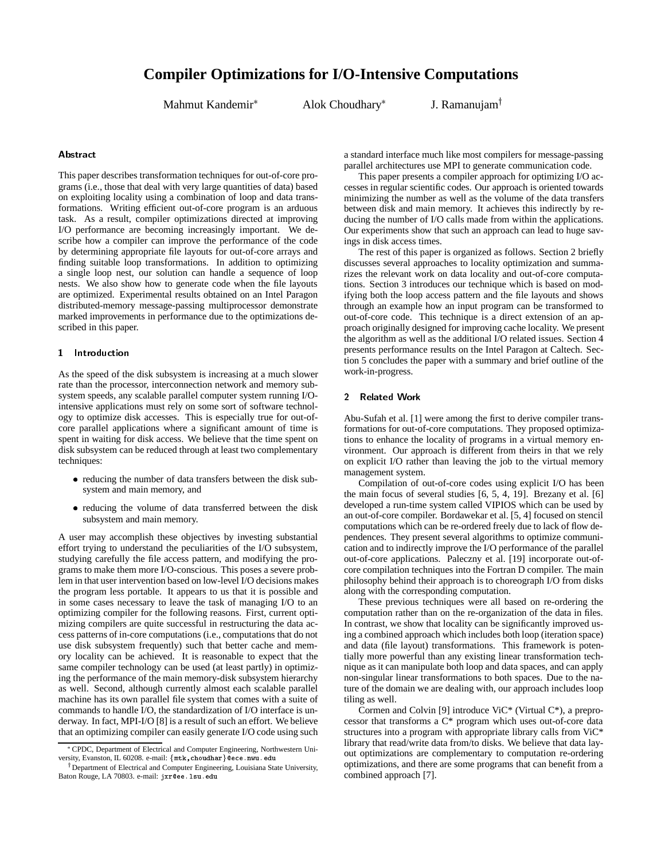# **Compiler Optimizations for I/O-Intensive Computations**

Mahmut Kandemir

Alok Choudhary

J. Ramanujam<sup>†</sup>

# Abstract

This paper describes transformation techniques for out-of-core programs (i.e., those that deal with very large quantities of data) based on exploiting locality using a combination of loop and data transformations. Writing efficient out-of-core program is an arduous task. As a result, compiler optimizations directed at improving I/O performance are becoming increasingly important. We describe how a compiler can improve the performance of the code by determining appropriate file layouts for out-of-core arrays and finding suitable loop transformations. In addition to optimizing a single loop nest, our solution can handle a sequence of loop nests. We also show how to generate code when the file layouts are optimized. Experimental results obtained on an Intel Paragon distributed-memory message-passing multiprocessor demonstrate marked improvements in performance due to the optimizations described in this paper.

### 1 Introduction

As the speed of the disk subsystem is increasing at a much slower rate than the processor, interconnection network and memory subsystem speeds, any scalable parallel computer system running I/Ointensive applications must rely on some sort of software technology to optimize disk accesses. This is especially true for out-ofcore parallel applications where a significant amount of time is spent in waiting for disk access. We believe that the time spent on disk subsystem can be reduced through at least two complementary techniques:

- reducing the number of data transfers between the disk subsystem and main memory, and
- reducing the volume of data transferred between the disk subsystem and main memory.

A user may accomplish these objectives by investing substantial effort trying to understand the peculiarities of the I/O subsystem, studying carefully the file access pattern, and modifying the programs to make them more I/O-conscious. This poses a severe problem in that user intervention based on low-level I/O decisions makes the program less portable. It appears to us that it is possible and in some cases necessary to leave the task of managing I/O to an optimizing compiler for the following reasons. First, current optimizing compilers are quite successful in restructuring the data access patterns of in-core computations (i.e., computations that do not use disk subsystem frequently) such that better cache and memory locality can be achieved. It is reasonable to expect that the same compiler technology can be used (at least partly) in optimizing the performance of the main memory-disk subsystem hierarchy as well. Second, although currently almost each scalable parallel machine has its own parallel file system that comes with a suite of commands to handle I/O, the standardization of I/O interface is underway. In fact, MPI-I/O [8] is a result of such an effort. We believe that an optimizing compiler can easily generate I/O code using such a standard interface much like most compilers for message-passing parallel architectures use MPI to generate communication code.

This paper presents a compiler approach for optimizing I/O accesses in regular scientific codes. Our approach is oriented towards minimizing the number as well as the volume of the data transfers between disk and main memory. It achieves this indirectly by reducing the number of I/O calls made from within the applications. Our experiments show that such an approach can lead to huge savings in disk access times.

The rest of this paper is organized as follows. Section 2 briefly discusses several approaches to locality optimization and summarizes the relevant work on data locality and out-of-core computations. Section 3 introduces our technique which is based on modifying both the loop access pattern and the file layouts and shows through an example how an input program can be transformed to out-of-core code. This technique is a direct extension of an approach originally designed for improving cache locality. We present the algorithm as well as the additional I/O related issues. Section 4 presents performance results on the Intel Paragon at Caltech. Section 5 concludes the paper with a summary and brief outline of the work-in-progress.

#### $2^{\circ}$ **Related Work**

Abu-Sufah et al. [1] were among the first to derive compiler transformations for out-of-core computations. They proposed optimizations to enhance the locality of programs in a virtual memory environment. Our approach is different from theirs in that we rely on explicit I/O rather than leaving the job to the virtual memory management system.

Compilation of out-of-core codes using explicit I/O has been the main focus of several studies [6, 5, 4, 19]. Brezany et al. [6] developed a run-time system called VIPIOS which can be used by an out-of-core compiler. Bordawekar et al. [5, 4] focused on stencil computations which can be re-ordered freely due to lack of flow dependences. They present several algorithms to optimize communication and to indirectly improve the I/O performance of the parallel out-of-core applications. Paleczny et al. [19] incorporate out-ofcore compilation techniques into the Fortran D compiler. The main philosophy behind their approach is to choreograph I/O from disks along with the corresponding computation.

These previous techniques were all based on re-ordering the computation rather than on the re-organization of the data in files. In contrast, we show that locality can be significantly improved using a combined approach which includes both loop (iteration space) and data (file layout) transformations. This framework is potentially more powerful than any existing linear transformation technique as it can manipulate both loop and data spaces, and can apply non-singular linear transformations to both spaces. Due to the nature of the domain we are dealing with, our approach includes loop tiling as well.

Cormen and Colvin [9] introduce ViC\* (Virtual C\*), a preprocessor that transforms a C\* program which uses out-of-core data structures into a program with appropriate library calls from ViC\* library that read/write data from/to disks. We believe that data layout optimizations are complementary to computation re-ordering optimizations, and there are some programs that can benefit from a combined approach [7].

CPDC, Department of Electrical and Computer Engineering, Northwestern University, Evanston, IL 60208. e-mail: {mtk, choudhar}@ece.nwu.edu

<sup>&</sup>lt;sup>†</sup> Department of Electrical and Computer Engineering, Louisiana State University, Baton Rouge, LA 70803. e-mail: jxr@ee.lsu.edu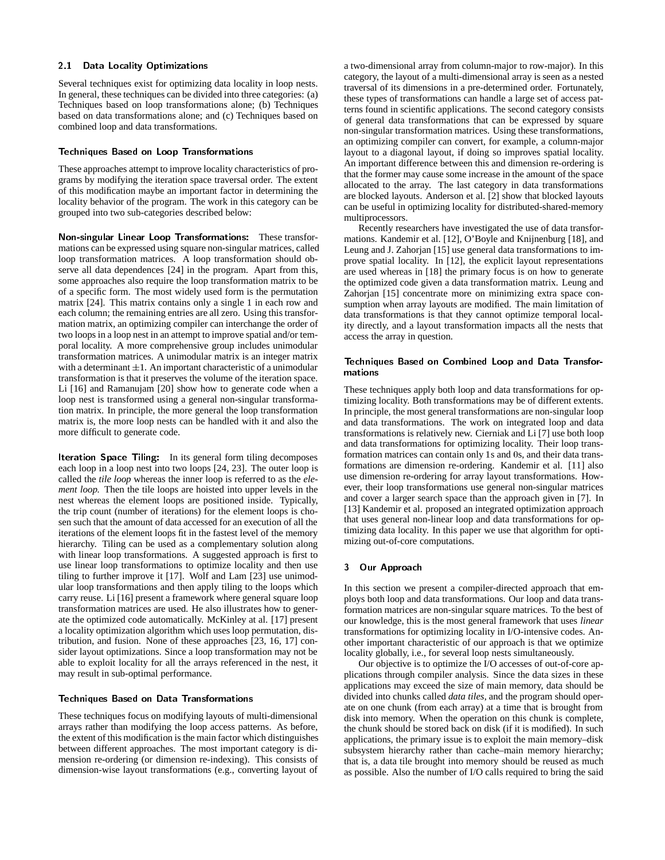### 2.1 Data Locality Optimizations

Several techniques exist for optimizing data locality in loop nests. In general, these techniques can be divided into three categories: (a) Techniques based on loop transformations alone; (b) Techniques based on data transformations alone; and (c) Techniques based on combined loop and data transformations.

#### Techniques Based on Loop Transformations

These approaches attempt to improve locality characteristics of programs by modifying the iteration space traversal order. The extent of this modification maybe an important factor in determining the locality behavior of the program. The work in this category can be grouped into two sub-categories described below:

Non-singular Linear Loop Transformations: These transformations can be expressed using square non-singular matrices, called loop transformation matrices. A loop transformation should observe all data dependences [24] in the program. Apart from this, some approaches also require the loop transformation matrix to be of a specific form. The most widely used form is the permutation matrix [24]. This matrix contains only a single <sup>1</sup> in each row and each column; the remaining entries are all zero. Using this transformation matrix, an optimizing compiler can interchange the order of two loops in a loop nest in an attempt to improve spatial and/or temporal locality. A more comprehensive group includes unimodular transformation matrices. A unimodular matrix is an integer matrix with a determinant  $\pm 1$ . An important characteristic of a unimodular transformation is that it preserves the volume of the iteration space. Li [16] and Ramanujam [20] show how to generate code when a loop nest is transformed using a general non-singular transformation matrix. In principle, the more general the loop transformation matrix is, the more loop nests can be handled with it and also the more difficult to generate code.

Iteration Space Tiling: In its general form tiling decomposes each loop in a loop nest into two loops [24, 23]. The outer loop is called the *tile loop* whereas the inner loop is referred to as the *element loop.* Then the tile loops are hoisted into upper levels in the nest whereas the element loops are positioned inside. Typically, the trip count (number of iterations) for the element loops is chosen such that the amount of data accessed for an execution of all the iterations of the element loops fit in the fastest level of the memory hierarchy. Tiling can be used as a complementary solution along with linear loop transformations. A suggested approach is first to use linear loop transformations to optimize locality and then use tiling to further improve it [17]. Wolf and Lam [23] use unimodular loop transformations and then apply tiling to the loops which carry reuse. Li [16] present a framework where general square loop transformation matrices are used. He also illustrates how to generate the optimized code automatically. McKinley at al. [17] present a locality optimization algorithm which uses loop permutation, distribution, and fusion. None of these approaches [23, 16, 17] consider layout optimizations. Since a loop transformation may not be able to exploit locality for all the arrays referenced in the nest, it may result in sub-optimal performance.

#### Techniques Based on Data Transformations

These techniques focus on modifying layouts of multi-dimensional arrays rather than modifying the loop access patterns. As before, the extent of this modification is the main factor which distinguishes between different approaches. The most important category is dimension re-ordering (or dimension re-indexing). This consists of dimension-wise layout transformations (e.g., converting layout of

a two-dimensional array from column-major to row-major). In this category, the layout of a multi-dimensional array is seen as a nested traversal of its dimensions in a pre-determined order. Fortunately, these types of transformations can handle a large set of access patterns found in scientific applications. The second category consists of general data transformations that can be expressed by square non-singular transformation matrices. Using these transformations, an optimizing compiler can convert, for example, a column-major layout to a diagonal layout, if doing so improves spatial locality. An important difference between this and dimension re-ordering is that the former may cause some increase in the amount of the space allocated to the array. The last category in data transformations are blocked layouts. Anderson et al. [2] show that blocked layouts can be useful in optimizing locality for distributed-shared-memory multiprocessors.

Recently researchers have investigated the use of data transformations. Kandemir et al. [12], O'Boyle and Knijnenburg [18], and Leung and J. Zahorjan [15] use general data transformations to improve spatial locality. In [12], the explicit layout representations are used whereas in [18] the primary focus is on how to generate the optimized code given a data transformation matrix. Leung and Zahorjan [15] concentrate more on minimizing extra space consumption when array layouts are modified. The main limitation of data transformations is that they cannot optimize temporal locality directly, and a layout transformation impacts all the nests that access the array in question.

### Techniques Based on Combined Loop and Data Transfor mations

These techniques apply both loop and data transformations for optimizing locality. Both transformations may be of different extents. In principle, the most general transformations are non-singular loop and data transformations. The work on integrated loop and data transformations is relatively new. Cierniak and Li [7] use both loop and data transformations for optimizing locality. Their loop transformation matrices can contain only <sup>1</sup>s and <sup>0</sup>s, and their data transformations are dimension re-ordering. Kandemir et al. [11] also use dimension re-ordering for array layout transformations. However, their loop transformations use general non-singular matrices and cover a larger search space than the approach given in [7]. In [13] Kandemir et al. proposed an integrated optimization approach that uses general non-linear loop and data transformations for optimizing data locality. In this paper we use that algorithm for optimizing out-of-core computations.

### 3 Our Approach

In this section we present a compiler-directed approach that employs both loop and data transformations. Our loop and data transformation matrices are non-singular square matrices. To the best of our knowledge, this is the most general framework that uses *linear* transformations for optimizing locality in I/O-intensive codes. Another important characteristic of our approach is that we optimize locality globally, i.e., for several loop nests simultaneously.

Our objective is to optimize the I/O accesses of out-of-core applications through compiler analysis. Since the data sizes in these applications may exceed the size of main memory, data should be divided into chunks called *data tiles*, and the program should operate on one chunk (from each array) at a time that is brought from disk into memory. When the operation on this chunk is complete, the chunk should be stored back on disk (if it is modified). In such applications, the primary issue is to exploit the main memory–disk subsystem hierarchy rather than cache–main memory hierarchy; that is, a data tile brought into memory should be reused as much as possible. Also the number of I/O calls required to bring the said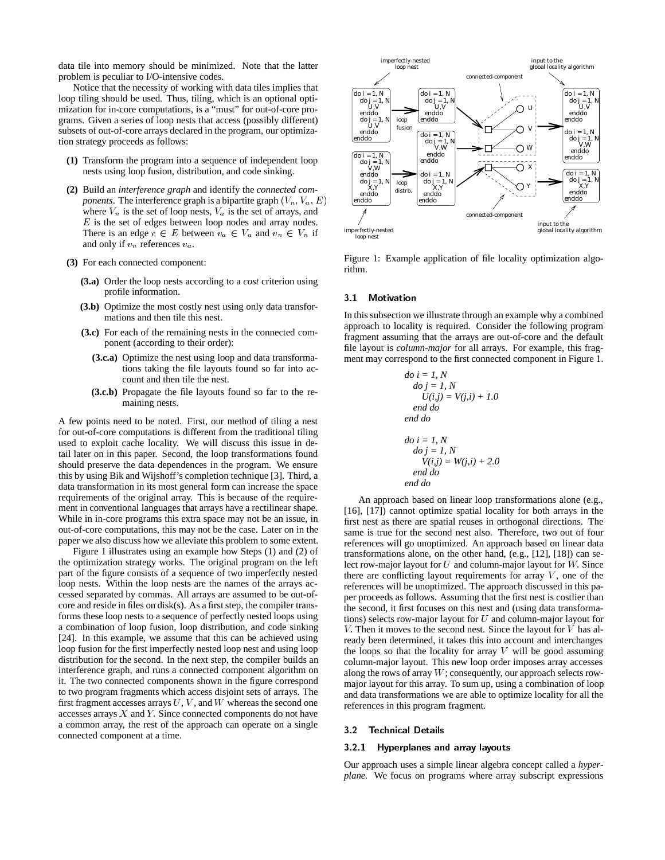data tile into memory should be minimized. Note that the latter problem is peculiar to I/O-intensive codes.

Notice that the necessity of working with data tiles implies that loop tiling should be used. Thus, tiling, which is an optional optimization for in-core computations, is a "must" for out-of-core programs. Given a series of loop nests that access (possibly different) subsets of out-of-core arrays declared in the program, our optimization strategy proceeds as follows:

- **(1)** Transform the program into a sequence of independent loop nests using loop fusion, distribution, and code sinking.
- **(2)** Build an *interference graph* and identify the *connected components*. The interference graph is a bipartite graph  $(V_n, V_a, E)$ where  $V_n$  is the set of loop nests,  $V_a$  is the set of arrays, and  $E$  is the set of edges between loop nodes and array nodes. There is an edge  $e \in E$  between  $v_a \in V_a$  and  $v_n \in V_n$  if and only if  $v_n$  references  $v_a$ .
- **(3)** For each connected component:
	- **(3.a)** Order the loop nests according to a *cost* criterion using profile information.
	- **(3.b)** Optimize the most costly nest using only data transformations and then tile this nest.
	- **(3.c)** For each of the remaining nests in the connected component (according to their order):
		- **(3.c.a)** Optimize the nest using loop and data transformations taking the file layouts found so far into account and then tile the nest.
		- **(3.c.b)** Propagate the file layouts found so far to the remaining nests.

A few points need to be noted. First, our method of tiling a nest for out-of-core computations is different from the traditional tiling used to exploit cache locality. We will discuss this issue in detail later on in this paper. Second, the loop transformations found should preserve the data dependences in the program. We ensure this by using Bik and Wijshoff's completion technique [3]. Third, a data transformation in its most general form can increase the space requirements of the original array. This is because of the requirement in conventional languages that arrays have a rectilinear shape. While in in-core programs this extra space may not be an issue, in out-of-core computations, this may not be the case. Later on in the paper we also discuss how we alleviate this problem to some extent.

Figure 1 illustrates using an example how Steps (1) and (2) of the optimization strategy works. The original program on the left part of the figure consists of a sequence of two imperfectly nested loop nests. Within the loop nests are the names of the arrays accessed separated by commas. All arrays are assumed to be out-ofcore and reside in files on disk(s). As a first step, the compiler transforms these loop nests to a sequence of perfectly nested loops using a combination of loop fusion, loop distribution, and code sinking [24]. In this example, we assume that this can be achieved using loop fusion for the first imperfectly nested loop nest and using loop distribution for the second. In the next step, the compiler builds an interference graph, and runs a connected component algorithm on it. The two connected components shown in the figure correspond to two program fragments which access disjoint sets of arrays. The first fragment accesses arrays  $U, V$ , and  $W$  whereas the second one accesses arrays  $X$  and  $Y$ . Since connected components do not have a common array, the rest of the approach can operate on a single connected component at a time.



Figure 1: Example application of file locality optimization algorithm.

### 3.1 Motivation

In this subsection we illustrate through an example why a combined approach to locality is required. Consider the following program fragment assuming that the arrays are out-of-core and the default file layout is *column-major* for all arrays. For example, this fragment may correspond to the first connected component in Figure 1.

$$
do \, i = 1, N
$$
  
\n $do \, j = 1, N$   
\n $U(i,j) = V(j,i) + 1.0$   
\nend do  
\nend do  
\n $do \, i = 1, N$   
\n $do \, j = 1, N$   
\n $V(i,j) = W(j,i) + 2.0$   
\nend do  
\nend do  
\nend do

An approach based on linear loop transformations alone (e.g., [16], [17]) cannot optimize spatial locality for both arrays in the first nest as there are spatial reuses in orthogonal directions. The same is true for the second nest also. Therefore, two out of four references will go unoptimized. An approach based on linear data transformations alone, on the other hand, (e.g., [12], [18]) can select row-major layout for  $U$  and column-major layout for  $W$ . Since there are conflicting layout requirements for array  $V$ , one of the references will be unoptimized. The approach discussed in this paper proceeds as follows. Assuming that the first nest is costlier than the second, it first focuses on this nest and (using data transformations) selects row-major layout for  $U$  and column-major layout for V. Then it moves to the second nest. Since the layout for  $V$  has already been determined, it takes this into account and interchanges the loops so that the locality for array  $V$  will be good assuming column-major layout. This new loop order imposes array accesses along the rows of array  $W$ ; consequently, our approach selects rowmajor layout for this array. To sum up, using a combination of loop and data transformations we are able to optimize locality for all the references in this program fragment.

#### 3.2 Technical Details

#### 3.2.1 Hyperplanes and array layouts

Our approach uses a simple linear algebra concept called a *hyperplane.* We focus on programs where array subscript expressions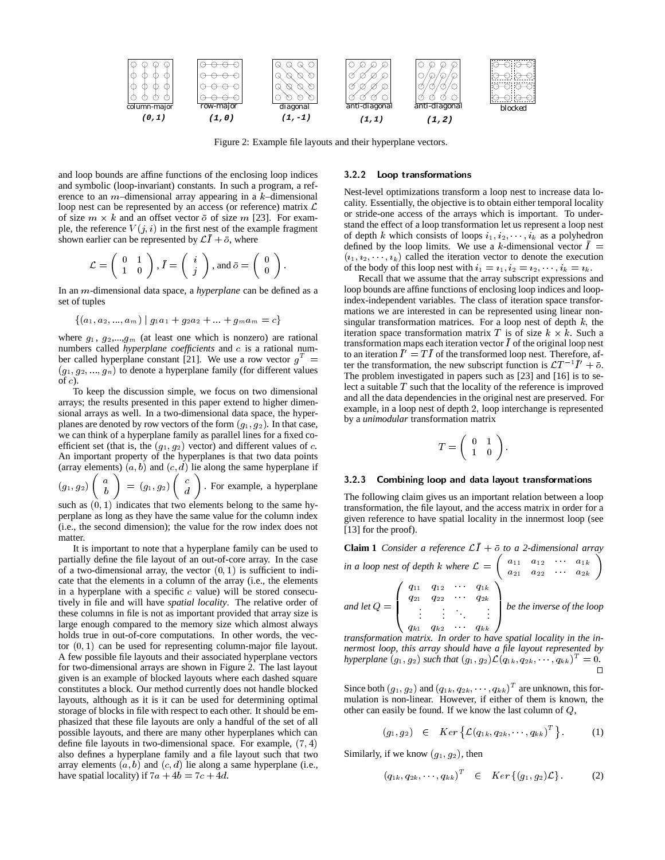

Figure 2: Example file layouts and their hyperplane vectors.

and loop bounds are affine functions of the enclosing loop indices and symbolic (loop-invariant) constants. In such a program, a reference to an  $m$ –dimensional array appearing in a  $k$ –dimensional loop nest can be represented by an access (or reference) matrix  $\mathcal L$ of size  $m \times k$  and an offset vector  $\bar{o}$  of size  $m$  [23]. For example, the reference  $V(j, i)$  in the first nest of the example fragment shown earlier can be represented by  $\mathcal{L}\bar{I}+\bar{o}$ , where

$$
\mathcal{L}=\left(\begin{array}{cc} 0 & 1 \\ 1 & 0 \end{array}\right),\, \bar{I}=\left(\begin{array}{c} i \\ j \end{array}\right),\, \text{and} \,\,\bar{o}=\left(\begin{array}{c} 0 \\ 0 \end{array}\right).
$$

In an <sup>m</sup>-dimensional data space, a *hyperplane* can be defined as a set of tuples

$$
\{(a_1,a_2,...,a_m)\mid g_1a_1+g_2a_2+...+g_ma_m=c\}
$$

where  $g_1, g_2,...,g_m$  (at least one which is nonzero) are rational numbers called *hyperplane coefficients* and <sup>c</sup> is a rational number called hyperplane constant [21]. We use a row vector  $g^T =$  $(g_1, g_2, ..., g_n)$  to denote a hyperplane family (for different values of  $c$ ).

To keep the discussion simple, we focus on two dimensional arrays; the results presented in this paper extend to higher dimensional arrays as well. In a two-dimensional data space, the hyperplanes are denoted by row vectors of the form  $(q_1, q_2)$ . In that case, we can think of a hyperplane family as parallel lines for a fixed coefficient set (that is, the  $(g_1, g_2)$  vector) and different values of c. An important property of the hyperplanes is that two data points (array elements)  $(a, b)$  and  $(c, d)$  lie along the same hyperplane if

 $(q_1, q_2) \left( \begin{array}{c} a \\ b \end{array} \right) = (q_1,$  $\begin{pmatrix} a \\ b \end{pmatrix} = (g_1, g_2) \begin{pmatrix} c \\ d \end{pmatrix}$ . For example, a hyperplane such as  $(0, 1)$  indicates that two elements belong to the same hy-

perplane as long as they have the same value for the column index (i.e., the second dimension); the value for the row index does not matter. It is important to note that a hyperplane family can be used to

partially define the file layout of an out-of-core array. In the case of a two-dimensional array, the vector  $(0, 1)$  is sufficient to indicate that the elements in a column of the array (i.e., the elements in a hyperplane with a specific  $c$  value) will be stored consecutively in file and will have *spatial locality*. The relative order of these columns in file is not as important provided that array size is large enough compared to the memory size which almost always holds true in out-of-core computations. In other words, the vector  $(0, 1)$  can be used for representing column-major file layout. A few possible file layouts and their associated hyperplane vectors for two-dimensional arrays are shown in Figure 2. The last layout given is an example of blocked layouts where each dashed square constitutes a block. Our method currently does not handle blocked layouts, although as it is it can be used for determining optimal storage of blocks in file with respect to each other. It should be emphasized that these file layouts are only a handful of the set of all possible layouts, and there are many other hyperplanes which can define file layouts in two-dimensional space. For example,  $(7, 4)$ also defines a hyperplane family and a file layout such that two array elements  $(a, b)$  and  $(c, d)$  lie along a same hyperplane (i.e., have spatial locality) if  $7a + 4b = 7c + 4d$ .

#### 3.2.2 Loop transformations

Nest-level optimizations transform a loop nest to increase data locality. Essentially, the objective is to obtain either temporal locality or stride-one access of the arrays which is important. To understand the effect of a loop transformation let us represent a loop nest of depth k which consists of loops  $i_1, i_2, \dots, i_k$  as a polyhedron defined by the loop limits. We use a k-dimensional vector  $\bar{I}$  =  $(i_1, i_2, \dots, i_k)$  called the iteration vector to denote the execution of the body of this loop nest with  $i_1 = i_1, i_2 = i_2, \dots, i_k = i_k$ .

ter the transformation, the new subscript function is  $\mathcal{L}T^{-1}I' + \bar{o}$ . Recall that we assume that the array subscript expressions and loop bounds are affine functions of enclosing loop indices and loopindex-independent variables. The class of iteration space transformations we are interested in can be represented using linear nonsingular transformation matrices. For a loop nest of depth  $k$ , the iteration space transformation matrix T is of size  $k \times k$ . Such a transformation maps each iteration vector  $\bar{I}$  of the original loop nest to an iteration  $\bar{I}' = T \bar{I}$  of the transformed loop nest. Therefore, af-The problem investigated in papers such as [23] and [16] is to select a suitable  $T$  such that the locality of the reference is improved and all the data dependencies in the original nest are preserved. For example, in a loop nest of depth 2; loop interchange is represented by a *unimodular* transformation matrix

$$
T=\left(\begin{array}{cc} 0 & 1 \\ 1 & 0 \end{array}\right).
$$

#### $3.2.3$ Combining loop and data layout transformations

The following claim gives us an important relation between a loop transformation, the file layout, and the access matrix in order for a given reference to have spatial locality in the innermost loop (see [13] for the proof).

**Claim 1** *Consider a reference*  $\mathcal{L}\bar{I} + \bar{\sigma}$  *to a 2-dimensional array* 

in a loop nest of depth k where 
$$
\mathcal{L} = \begin{pmatrix} a_{11} & a_{12} & \cdots & a_{1k} \\ a_{21} & a_{22} & \cdots & a_{2k} \end{pmatrix}
$$
 and let  $Q = \begin{pmatrix} q_{11} & q_{12} & \cdots & q_{1k} \\ q_{21} & q_{22} & \cdots & q_{2k} \\ \vdots & \vdots & \ddots & \vdots \\ q_{k1} & q_{k2} & \cdots & q_{kk} \end{pmatrix}$  be the inverse of the loop

 $\chi q_{k1} q_{k2} \cdots q_{kk}$  *transformation matrix. In order to have spatial locality in the innermost loop, this array should have a file layout represented by hyperplane*  $(g_1, g_2)$  *such that*  $(g_1, g_2)$   $\mathcal{L}(q_{1k}, q_{2k}, \dots, q_{kk})^T = 0.$ 

Since both  $(g_1, g_2)$  and  $(q_{1k}, q_{2k}, \dots, q_{kk})^T$  are unknown, this formulation is non-linear. However, if either of them is known, the other can easily be found. If we know the last column of <sup>Q</sup>,

$$
(g_1, g_2) \in \operatorname{Ker} \left\{ \mathcal{L}(q_{1k}, q_{2k}, \cdots, q_{kk})^T \right\}. \tag{1}
$$

Similarly, if we know  $(g_1, g_2)$ , then

$$
(q_{1k}, q_{2k}, \cdots, q_{kk})^T \in Ker \{(g_1, g_2) \mathcal{L}\}.
$$
 (2)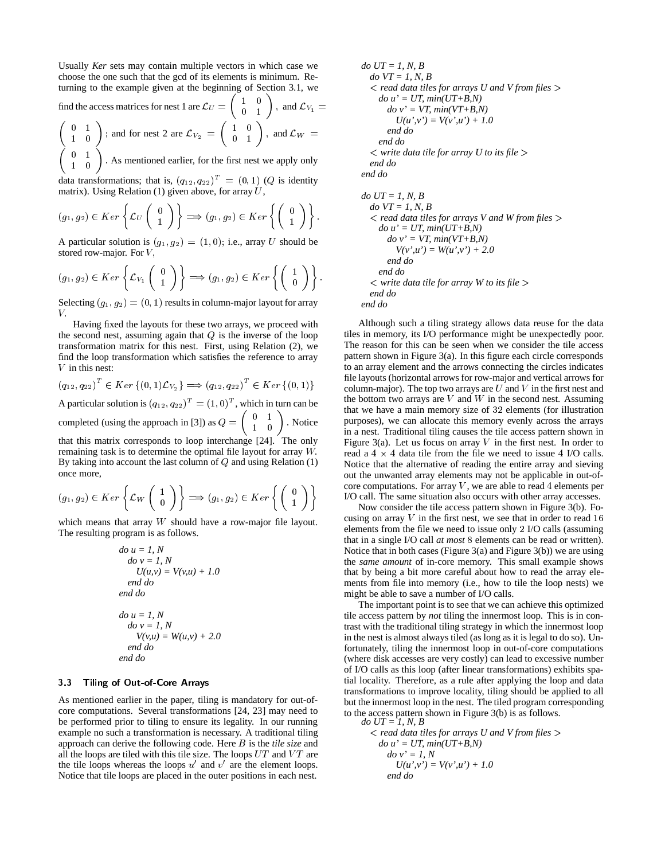Usually *Ker* sets may contain multiple vectors in which case we choose the one such that the gcd of its elements is minimum. Returning to the example given at the beginning of Section 3.1, we

find the access matrices for nest 1 are 
$$
\mathcal{L}_U = \begin{pmatrix} 1 & 0 \\ 0 & 1 \end{pmatrix}
$$
, and  $\mathcal{L}_{V_1} = \begin{pmatrix} 0 & 1 \\ 1 & 0 \end{pmatrix}$ ; and for nest 2 are  $\mathcal{L}_{V_2} = \begin{pmatrix} 1 & 0 \\ 0 & 1 \end{pmatrix}$ , and  $\mathcal{L}_W = \begin{pmatrix} 0 & 1 \\ 1 & 0 \end{pmatrix}$ . As mentioned earlier, for the first nest we apply only

data transformations; that is,  $(q_{12}, q_{22})^T = (0, 1)$  (Q is identity matrix). Using Relation  $(1)$  given above, for array  $U$ ,

$$
(g_1, g_2) \in Ker \left\{ \mathcal{L}_U \begin{pmatrix} 0 \\ 1 \end{pmatrix} \right\} \Longrightarrow (g_1, g_2) \in Ker \left\{ \begin{pmatrix} 0 \\ 1 \end{pmatrix} \right\}.
$$

A particular solution is  $(g_1, g_2) = (1, 0)$ ; i.e., array U should be stored row-major. For  $V$ ,

$$
(g_1, g_2) \in Ker \left\{ \mathcal{L}_{V_1} \left( \begin{array}{c} 0 \\ 1 \end{array} \right) \right\} \Longrightarrow (g_1, g_2) \in Ker \left\{ \left( \begin{array}{c} 1 \\ 0 \end{array} \right) \right\}.
$$

Selecting  $(g_1, g_2) = (0, 1)$  results in column-major layout for array  $V_{\cdot}$ 

Having fixed the layouts for these two arrays, we proceed with the second nest, assuming again that  $Q$  is the inverse of the loop transformation matrix for this nest. First, using Relation (2), we find the loop transformation which satisfies the reference to array  $\mathbf{v}$  $V$  in this nest:

$$
(q_{12}, q_{22})^T \in Ker \{ (0, 1) \mathcal{L}_{V_2} \} \Longrightarrow (q_{12}, q_{22})^T \in Ker \{ (0, 1) \}
$$

A particular solution is  $(q_{12}, q_{22})^T = (1, 0)^T$ , which in turn can be completed (using the approach in [3]) as  $Q = \begin{pmatrix} 0 & 1 \\ 1 & 0 \end{pmatrix}$ . Noti  $\begin{pmatrix} 0 & 1 \\ 1 & 0 \end{pmatrix}$ . Notice

that this matrix corresponds to loop interchange  $[24]$ . The only remaining task is to determine the optimal file layout for array W: By taking into account the last column of  $Q$  and using Relation  $(1)$ once more,

$$
(g_1, g_2) \in Ker \left\{ \mathcal{L}_W \left( \begin{array}{c} 1 \\ 0 \end{array} \right) \right\} \Longrightarrow (g_1, g_2) \in Ker \left\{ \left( \begin{array}{c} 0 \\ 1 \end{array} \right) \right\}
$$

which means that array W should have a row-major file layout. The resulting program is as follows.

$$
do u = 1, N
$$
  
\n
$$
do v = 1, N
$$
  
\n
$$
U(u,v) = V(v,u) + 1.0
$$
  
\n
$$
end do
$$
  
\n
$$
du = 1, N
$$
  
\n
$$
do v = 1, N
$$
  
\n
$$
V(v,u) = W(u,v) + 2.0
$$
  
\n
$$
end do
$$
  
\n
$$
end do
$$

### 3.3 Tiling of Out-of-Core Arrays

As mentioned earlier in the paper, tiling is mandatory for out-ofcore computations. Several transformations [24, 23] may need to be performed prior to tiling to ensure its legality. In our running example no such a transformation is necessary. A traditional tiling approach can derive the following code. Here <sup>B</sup> is the *tile size* and all the loops are tiled with this tile size. The loops  $UT$  and  $VT$  are the tile loops whereas the loops  $u'$  and  $v'$  are the element loops. Notice that tile loops are placed in the outer positions in each nest.

do 
$$
UT = 1, N, B
$$

\ndo  $VT = 1, N, B$ 

\n $<$  read data tiles for arrays  $U$  and  $V$  from files  $>$ 

\ndo  $u' = UT$ ,  $min(UT + B, N)$ 

\ndo  $v' = VT$ ,  $min(VT + B, N)$ 

\n $U(u', v') = V(v', u') + 1.0$ 

\nend do

\nend do

\n $= \int_{V}^{V} f(v') \, dv' + 1.0$ 

\nend do

\ndo  $V = 1, N, B$ 

\ndo  $VT = 1, N, B$ 

\ndo  $VT = 1, N, B$ 

\ndo  $V' = UT$ ,  $min(UT + B, N)$ 

\ndo  $u' = UT$ ,  $min(UT + B, N)$ 

\ndo  $v' = VT$ ,  $min(VT + B, N)$ 

\ndo  $V' = V$ ,  $min(VT + B, N)$ 

\ndo  $V = V(u', u') + 2.0$ 

\nend do

\nend do

\nend do

\nend do

\nend do

\nend do

\nend do

\nend do

\nend do

\nend do

 $\begin{bmatrix} 0 \\ 1 \end{bmatrix}$  Core computations. For array v, we are able to read 4 elements per VO call. The same situation also occurs with other array accesses. Although such a tiling strategy allows data reuse for the data tiles in memory, its I/O performance might be unexpectedly poor. The reason for this can be seen when we consider the tile access pattern shown in Figure 3(a). In this figure each circle corresponds to an array element and the arrows connecting the circles indicates file layouts (horizontal arrows for row-major and vertical arrows for column-major). The top two arrays are  $U$  and  $V$  in the first nest and the bottom two arrays are  $V$  and  $W$  in the second nest. Assuming that we have a main memory size of <sup>32</sup> elements (for illustration purposes), we can allocate this memory evenly across the arrays in a nest. Traditional tiling causes the tile access pattern shown in Figure 3(a). Let us focus on array  $V$  in the first nest. In order to read a  $4 \times 4$  data tile from the file we need to issue  $4$  I/O calls. Notice that the alternative of reading the entire array and sieving out the unwanted array elements may not be applicable in out-ofcore computations. For array  $V$ , we are able to read 4 elements per

Now consider the tile access pattern shown in Figure 3(b). Focusing on array  $V$  in the first nest, we see that in order to read 16 elements from the file we need to issue only <sup>2</sup> I/O calls (assuming that in a single I/O call *at most* <sup>8</sup> elements can be read or written). Notice that in both cases (Figure 3(a) and Figure 3(b)) we are using the *same amount* of in-core memory. This small example shows that by being a bit more careful about how to read the array elements from file into memory (i.e., how to tile the loop nests) we might be able to save a number of I/O calls.

The important point is to see that we can achieve this optimized tile access pattern by *not* tiling the innermost loop. This is in contrast with the traditional tiling strategy in which the innermost loop in the nest is almost always tiled (as long as it is legal to do so). Unfortunately, tiling the innermost loop in out-of-core computations (where disk accesses are very costly) can lead to excessive number of I/O calls as this loop (after linear transformations) exhibits spatial locality. Therefore, as a rule after applying the loop and data transformations to improve locality, tiling should be applied to all but the innermost loop in the nest. The tiled program corresponding to the access pattern shown in Figure 3(b) is as follows. *do UT = 1, N, B*

< *read data tiles for arrays U and V from files* <sup>&</sup>gt; *do u' = UT, min(UT+B,N) do v' = 1, N*  $U(u',v') = V(v',u') + 1.0$ *end do*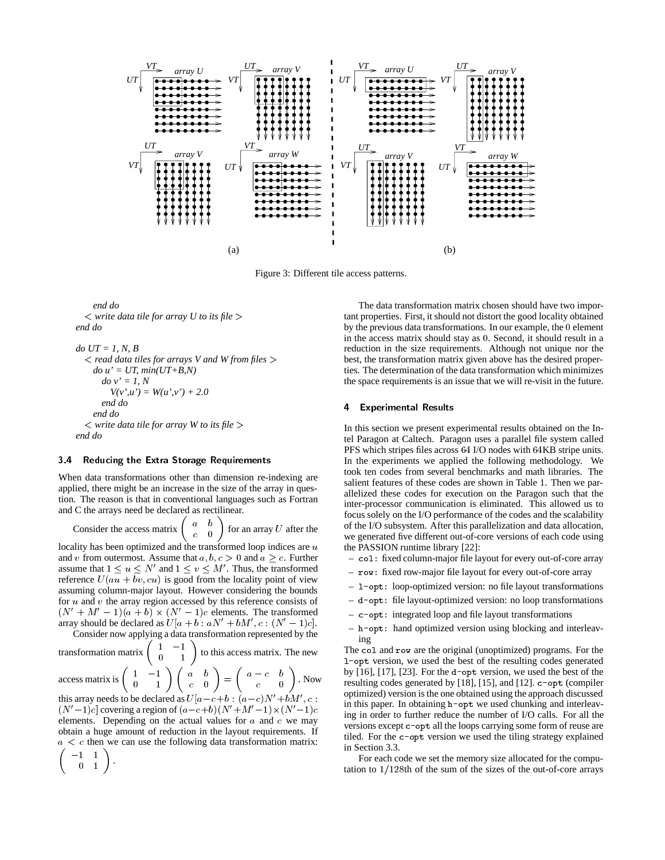

Figure 3: Different tile access patterns.

*end do* < *write data tile for array U to its file* <sup>&</sup>gt; *end do*

```
do UT = 1, N, B
  < read data tiles for arrays V and W from files >
   do u' = UT, min(UT+B,N)
     do v' = 1, N
       V(v', u') = W(u', v') + 2.0end do
   end do
  < write data tile for array W to its file >
end do
```
#### 3.4 Reducing the Extra Storage Requirements

When data transformations other than dimension re-indexing are applied, there might be an increase in the size of the array in question. The reason is that in conventional languages such as Fortran and C the arrays need be declared as rectilinear.

Consider the access matrix  $\begin{pmatrix} a & b \\ c & 0 \end{pmatrix}$  $\sim$   $\sim$   $\sim$  $c$  $\begin{pmatrix} b \\ 0 \end{pmatrix}$  for an array U after the

locality has been optimized and the transformed loop indices are  $u$ and v from outermost. Assume that  $a, b, c > 0$  and  $a \geq c$ . Further assume that  $1 \le u \le N'$  and  $1 \le v \le M'$ . Thus, the transformed reference  $U(au + bv, cu)$  is good from the locality point of view assuming column-major layout. However considering the bounds for  $u$  and  $v$  the array region accessed by this reference consists of  $(N' + M' - 1)(a + b) \times (N' - 1)c$  elements. The transformed array should be declared as  $U[a + b : aN' + bM', c : (N' - 1)c]$ . Consider now applying a data transformation represented by the

transformation matrix  $\begin{pmatrix} 1 & -1 \\ 0 & 1 \end{pmatrix}$  $\begin{pmatrix} 1 & -1 \\ 0 & 1 \end{pmatrix}$  to this access matrix. The new access matrix is  $\overline{a}$  $\begin{pmatrix} 1 & -1 \\ 0 & 1 \end{pmatrix} \begin{pmatrix} a & b \\ c & 0 \end{pmatrix} = \begin{pmatrix} 1 & 0 \\ 0 & 1 \end{pmatrix}$  $\begin{pmatrix} b \\ 0 \end{pmatrix} = \begin{pmatrix} a-c \\ c \end{pmatrix}$  $=\left(\begin{array}{cc} a-c & b \\ 0 & c \end{array}\right).$  $\begin{matrix} b \ 0 \end{matrix}$  $\begin{pmatrix} b \\ 0 \end{pmatrix}$ . Now  $\begin{pmatrix} by \\ res \end{pmatrix}$  Now this array needs to be declared as  $U[a-c+b : (a-c)N'+bM', c$ :

 $(N'-1)c$  covering a region of  $(a-c+b)(N'+M'-1) \times (N'-1)c$ elements. Depending on the actual values for  $a$  and  $c$  we may obtain a huge amount of reduction in the layout requirements. If  $a < c$  then we can use the following data transformation matrix:  $\left(\begin{array}{cc} -1 & 1 \\ 0 & 1 \end{array}\right)$ .

$$
\left(\begin{array}{cc} 0 & 1 \end{array}\right)
$$

The data transformation matrix chosen should have two important properties. First, it should not distort the good locality obtained by the previous data transformations. In our example, the <sup>0</sup> element in the access matrix should stay as 0: Second, it should result in a reduction in the size requirements. Although not unique nor the best, the transformation matrix given above has the desired properties. The determination of the data transformation which minimizes the space requirements is an issue that we will re-visit in the future.

### 4 Experimental Results

In this section we present experimental results obtained on the Intel Paragon at Caltech. Paragon uses a parallel file system called PFS which stripes files across <sup>64</sup> I/O nodes with <sup>64</sup>KB stripe units. In the experiments we applied the following methodology. We took ten codes from several benchmarks and math libraries. The salient features of these codes are shown in Table 1. Then we parallelized these codes for execution on the Paragon such that the inter-processor communication is eliminated. This allowed us to focus solely on the I/O performance of the codes and the scalability of the I/O subsystem. After this parallelization and data allocation, we generated five different out-of-core versions of each code using the PASSION runtime library [22]:

- col: fixed column-major file layout for every out-of-core array
- row: fixed row-major file layout for every out-of-core array
- l-opt: loop-optimized version: no file layout transformations
- d-opt: file layout-optimized version: no loop transformations
- c-opt: integrated loop and file layout transformations
- h-opt: hand optimized version using blocking and interleaving

The col and row are the original (unoptimized) programs. For the l-opt version, we used the best of the resulting codes generated by [16], [17], [23]. For the d-opt version, we used the best of the resulting codes generated by [18], [15], and [12]. c-opt (compiler optimized) version is the one obtained using the approach discussed in this paper. In obtaining h-opt we used chunking and interleaving in order to further reduce the number of I/O calls. For all the versions except c-opt all the loops carrying some form of reuse are tiled. For the c-opt version we used the tiling strategy explained in Section 3.3.

For each code we set the memory size allocated for the computation to  $1/128$ th of the sum of the sizes of the out-of-core arrays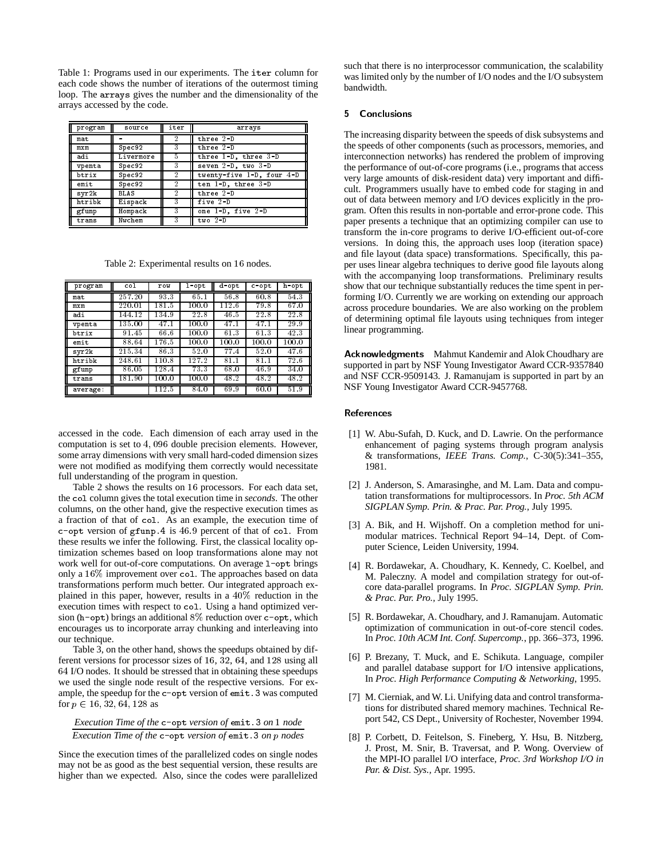Table 1: Programs used in our experiments. The iter column for each code shows the number of iterations of the outermost timing loop. The arrays gives the number and the dimensionality of the arrays accessed by the code.

| program | source    | iter           | arrays                    |
|---------|-----------|----------------|---------------------------|
| mat     |           | 2              | three $2-D$               |
| mxm     | Spec 92   | 3              | three 2-D                 |
| adi     | Livermore | 5              | three 1-D, three 3-D      |
| vpenta  | Spec92    | 3              | seven 2-D, two 3-D        |
| btrix   | Spec92    | $\overline{2}$ | twenty-five 1-D, four 4-D |
| emit    | Spec 92   | 2              | ten 1-D, three 3-D        |
| syr2k   | BLAS      | 2              | three 2-D                 |
| htribk  | Eispack   | 3              | five $2-D$                |
| gfunp   | Hompack   | 3              | one 1-D, five 2-D         |
| trans   | Nwchem    | 3              | two $2-D$                 |

Table 2: Experimental results on <sup>16</sup> nodes.

| program  | co1    | row   | l-opt | d-opt | $c$ -opt | h-opt |
|----------|--------|-------|-------|-------|----------|-------|
| mat      | 257.20 | 93.3  | 65.1  | 56.8  | 60.8     | 54.3  |
| mxm      | 220.01 | 181.5 | 100.0 | 112.6 | 79.8     | 67.0  |
| adi      | 144.12 | 134.9 | 22.8  | 46.5  | 22.8     | 22.8  |
| vpenta   | 135.00 | 47.1  | 100.0 | 47.1  | 47.1     | 29.9  |
| btrix    | 91.45  | 66.6  | 100.0 | 61.3  | 61.3     | 42.3  |
| emit     | 88.64  | 176.5 | 100.0 | 100.0 | 100.0    | 100.0 |
| syr2k    | 215.34 | 86.3  | 52.0  | 77.4  | 52.0     | 47.6  |
| htribk   | 248.61 | 110.8 | 127.2 | 81.1  | 81.1     | 72.6  |
| gfunp    | 86.05  | 128.4 | 73.3  | 68.0  | 46.9     | 34.0  |
| trans    | 181.90 | 100.0 | 100.0 | 48.2  | 48.2     | 48.2  |
| average: |        | 112.5 | 84.0  | 69.9  | 60.0     | 51.9  |

accessed in the code. Each dimension of each array used in the computation is set to 4; <sup>096</sup> double precision elements. However, some array dimensions with very small hard-coded dimension sizes were not modified as modifying them correctly would necessitate full understanding of the program in question.

Table 2 shows the results on <sup>16</sup> processors. For each data set, the col column gives the total execution time in *seconds*. The other columns, on the other hand, give the respective execution times as a fraction of that of col. As an example, the execution time of c-opt version of gfunp.4 is 46:9 percent of that of col. From these results we infer the following. First, the classical locality optimization schemes based on loop transformations alone may not work well for out-of-core computations. On average 1-opt brings only a 16% improvement over col. The approaches based on data transformations perform much better. Our integrated approach explained in this paper, however, results in a 40% reduction in the execution times with respect to col. Using a hand optimized version (h-opt) brings an additional 8% reduction over c-opt, which encourages us to incorporate array chunking and interleaving into our technique.

Table 3, on the other hand, shows the speedups obtained by different versions for processor sizes of <sup>16</sup>, <sup>32</sup>, <sup>64</sup>, and <sup>128</sup> using all <sup>64</sup> I/O nodes. It should be stressed that in obtaining these speedups we used the single node result of the respective versions. For example, the speedup for the c-opt version of emit. 3 was computed for  $p \in 16, 32, 64, 128$  as

# *Execution Time of the* c-opt *version of* emit.3 *on* <sup>1</sup> *node Execution Time of the* c-opt *version of* emit.3 *on* <sup>p</sup> *nodes*

Since the execution times of the parallelized codes on single nodes may not be as good as the best sequential version, these results are higher than we expected. Also, since the codes were parallelized such that there is no interprocessor communication, the scalability was limited only by the number of I/O nodes and the I/O subsystem bandwidth.

### 5 Conclusions

The increasing disparity between the speeds of disk subsystems and the speeds of other components (such as processors, memories, and interconnection networks) has rendered the problem of improving the performance of out-of-core programs (i.e., programs that access very large amounts of disk-resident data) very important and difficult. Programmers usually have to embed code for staging in and out of data between memory and I/O devices explicitly in the program. Often this results in non-portable and error-prone code. This paper presents a technique that an optimizing compiler can use to transform the in-core programs to derive I/O-efficient out-of-core versions. In doing this, the approach uses loop (iteration space) and file layout (data space) transformations. Specifically, this paper uses linear algebra techniques to derive good file layouts along with the accompanying loop transformations. Preliminary results show that our technique substantially reduces the time spent in performing I/O. Currently we are working on extending our approach across procedure boundaries. We are also working on the problem of determining optimal file layouts using techniques from integer linear programming.

Acknowledgments Mahmut Kandemir and Alok Choudhary are supported in part by NSF Young Investigator Award CCR-9357840 and NSF CCR-9509143. J. Ramanujam is supported in part by an NSF Young Investigator Award CCR-9457768.

#### References

- [1] W. Abu-Sufah, D. Kuck, and D. Lawrie. On the performance enhancement of paging systems through program analysis & transformations, *IEEE Trans. Comp.*, C-30(5):341–355, 1981.
- [2] J. Anderson, S. Amarasinghe, and M. Lam. Data and computation transformations for multiprocessors. In *Proc. 5th ACM SIGPLAN Symp. Prin. & Prac. Par. Prog.,* July 1995.
- [3] A. Bik, and H. Wijshoff. On a completion method for unimodular matrices. Technical Report 94–14, Dept. of Computer Science, Leiden University, 1994.
- [4] R. Bordawekar, A. Choudhary, K. Kennedy, C. Koelbel, and M. Paleczny. A model and compilation strategy for out-ofcore data-parallel programs. In *Proc. SIGPLAN Symp. Prin. & Prac. Par. Pro.,* July 1995.
- [5] R. Bordawekar, A. Choudhary, and J. Ramanujam. Automatic optimization of communication in out-of-core stencil codes. In *Proc. 10th ACM Int. Conf. Supercomp.*, pp. 366–373, 1996.
- [6] P. Brezany, T. Muck, and E. Schikuta. Language, compiler and parallel database support for I/O intensive applications, In *Proc. High Performance Computing & Networking*, 1995.
- [7] M. Cierniak, and W. Li. Unifying data and control transformations for distributed shared memory machines. Technical Report 542, CS Dept., University of Rochester, November 1994.
- [8] P. Corbett, D. Feitelson, S. Fineberg, Y. Hsu, B. Nitzberg, J. Prost, M. Snir, B. Traversat, and P. Wong. Overview of the MPI-IO parallel I/O interface, *Proc. 3rd Workshop I/O in Par. & Dist. Sys.,* Apr. 1995.